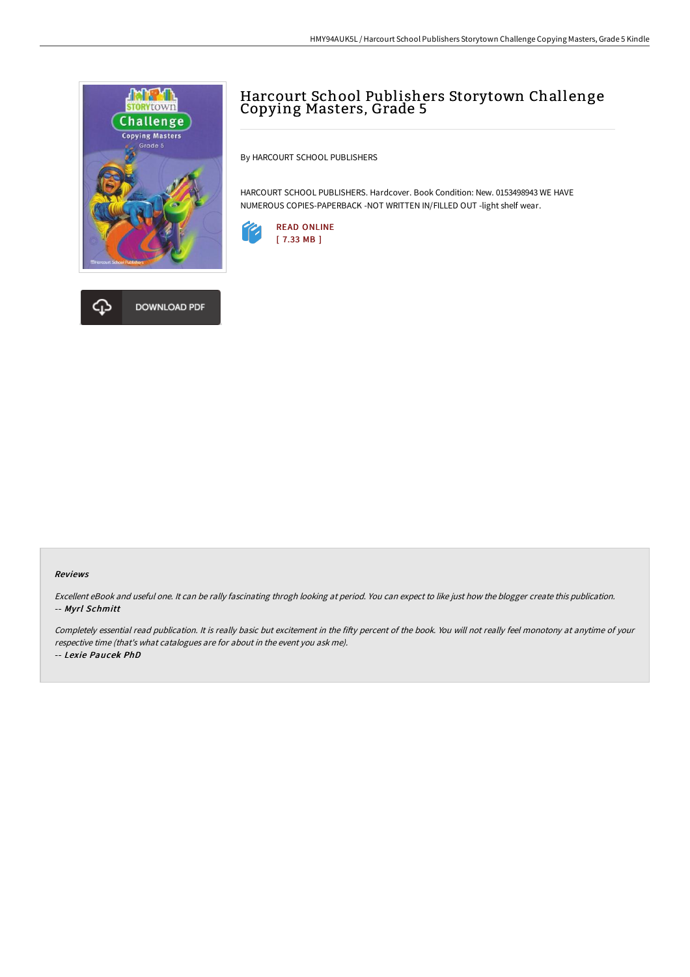



By HARCOURT SCHOOL PUBLISHERS

HARCOURT SCHOOL PUBLISHERS. Hardcover. Book Condition: New. 0153498943 WE HAVE NUMEROUS COPIES-PAPERBACK -NOT WRITTEN IN/FILLED OUT -light shelf wear.



## Reviews

Excellent eBook and useful one. It can be rally fascinating throgh looking at period. You can expect to like just how the blogger create this publication. -- Myrl Schmitt

Completely essential read publication. It is really basic but excitement in the fifty percent of the book. You will not really feel monotony at anytime of your respective time (that's what catalogues are for about in the event you ask me). -- Lexie Paucek PhD